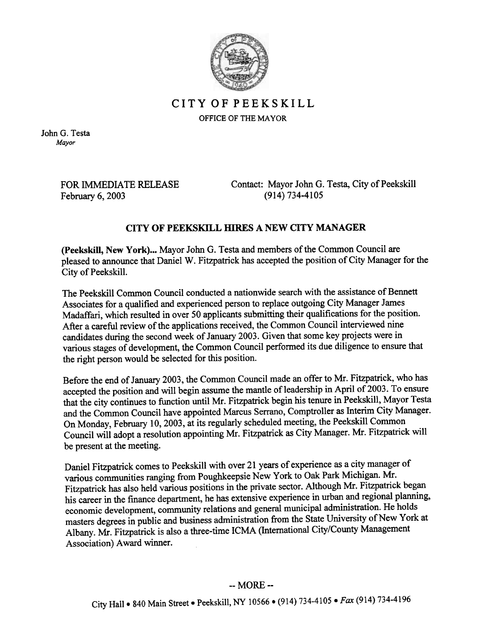

CITYOFPEEKSKILL

OFFICE OF THE MAYOR

John G. Testa Mayor

> FOR IMMEDIATE RELEASE February 6, 2003

Contact: Mayor John G. Testa, City of Peekskill (914) 734-4105

## CITY OF PEEKSKILL HIRES A NEW CITY MANAGER

(Peekskill, New York)... Mayor John G. Testa and members of the Common Council are pleased to announce that Daniel W. Fitzpatrick has accepted the position of City Manager for the City of Peekskill.

The Peekskill Common Council conducted a nationwide search with the assistance of Bennett Associates for a qualified and experienced person to replace outgoing City Manager James Madaffari, which resulted in over 50 applicants submitting their qualifications for the position. After a careful review of the applications received, the Common Council interviewed nine candidates during the second week of January 2003. Given that some key projects were in various stages of development, the Common Council performed its due diligence to ensure that the right person would be selected for this position.

Before the end of January 2003, the Common Council made an offer to Mr. Fitzpatrick, who has accepted the position and will begin assume the mantle of leadership in April of 2003. To ensure that the city continues to function until Mr. Fitzpatrick begin his tenure in Peekskill, Mayor Testa and the Common Council have appointed Marcus Serrano, Comptroller as Interim City Manager. On Monday, February 10,2003, at its regularly scheduled meeting, the Peekskill Common Council will adopt a resolution appointing Mr. Fitzpatrick as City Manager. Mr. Fitzpatrick will be present at the meeting.

Daniel Fitzpatrick comes to Peekskill with over 21 years of experience as a city manager of various communities ranging from Poughkeepsie New York to Oak Park Michigan. Mr. Fitzpatrick has also held various positions in the private sector. Although Mr. Fitzpatrick began his career in the finance department, he has extensive experience in urban and regional planning, economic development, community relations and general municipal administration. He holds masters degrees in public and business administration from the State University of New York at Albany. Mr. Fitzpatrick is also a three-time ICMA (International City/County Management Association) Award winner.